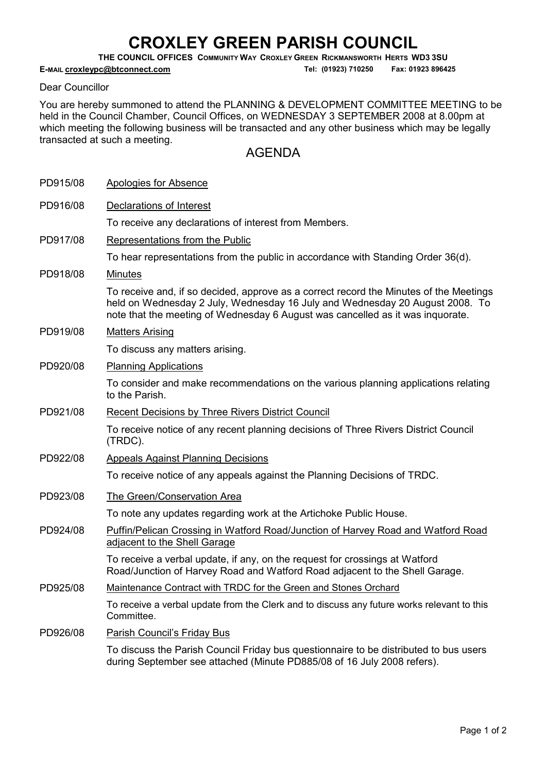## CROXLEY GREEN PARISH COUNCIL

THE COUNCIL OFFICES COMMUNITY WAY CROXLEY GREEN RICKMANSWORTH HERTS WD3 3SU

E-MAIL **croxleypc@btconnect.com** Tel: (01923) 710250 Fax: 01923 896425

## Dear Councillor

You are hereby summoned to attend the PLANNING & DEVELOPMENT COMMITTEE MEETING to be held in the Council Chamber, Council Offices, on WEDNESDAY 3 SEPTEMBER 2008 at 8.00pm at which meeting the following business will be transacted and any other business which may be legally transacted at such a meeting.

## AGENDA

| PD915/08 | Apologies for Absence                                                                                                                                                                                                                                    |
|----------|----------------------------------------------------------------------------------------------------------------------------------------------------------------------------------------------------------------------------------------------------------|
| PD916/08 | Declarations of Interest                                                                                                                                                                                                                                 |
|          | To receive any declarations of interest from Members.                                                                                                                                                                                                    |
| PD917/08 | Representations from the Public                                                                                                                                                                                                                          |
|          | To hear representations from the public in accordance with Standing Order 36(d).                                                                                                                                                                         |
| PD918/08 | <b>Minutes</b>                                                                                                                                                                                                                                           |
|          | To receive and, if so decided, approve as a correct record the Minutes of the Meetings<br>held on Wednesday 2 July, Wednesday 16 July and Wednesday 20 August 2008. To<br>note that the meeting of Wednesday 6 August was cancelled as it was inquorate. |
| PD919/08 | <b>Matters Arising</b>                                                                                                                                                                                                                                   |
|          | To discuss any matters arising.                                                                                                                                                                                                                          |
| PD920/08 | <b>Planning Applications</b>                                                                                                                                                                                                                             |
|          | To consider and make recommendations on the various planning applications relating<br>to the Parish.                                                                                                                                                     |
| PD921/08 | <b>Recent Decisions by Three Rivers District Council</b>                                                                                                                                                                                                 |
|          | To receive notice of any recent planning decisions of Three Rivers District Council<br>(TRDC).                                                                                                                                                           |
| PD922/08 | <b>Appeals Against Planning Decisions</b>                                                                                                                                                                                                                |
|          | To receive notice of any appeals against the Planning Decisions of TRDC.                                                                                                                                                                                 |
| PD923/08 | The Green/Conservation Area                                                                                                                                                                                                                              |
|          | To note any updates regarding work at the Artichoke Public House.                                                                                                                                                                                        |
| PD924/08 | Puffin/Pelican Crossing in Watford Road/Junction of Harvey Road and Watford Road<br>adjacent to the Shell Garage                                                                                                                                         |
|          | To receive a verbal update, if any, on the request for crossings at Watford<br>Road/Junction of Harvey Road and Watford Road adjacent to the Shell Garage.                                                                                               |
| PD925/08 | Maintenance Contract with TRDC for the Green and Stones Orchard                                                                                                                                                                                          |
|          | To receive a verbal update from the Clerk and to discuss any future works relevant to this<br>Committee.                                                                                                                                                 |
| PD926/08 | Parish Council's Friday Bus                                                                                                                                                                                                                              |
|          | To discuss the Parish Council Friday bus questionnaire to be distributed to bus users<br>during September see attached (Minute PD885/08 of 16 July 2008 refers).                                                                                         |